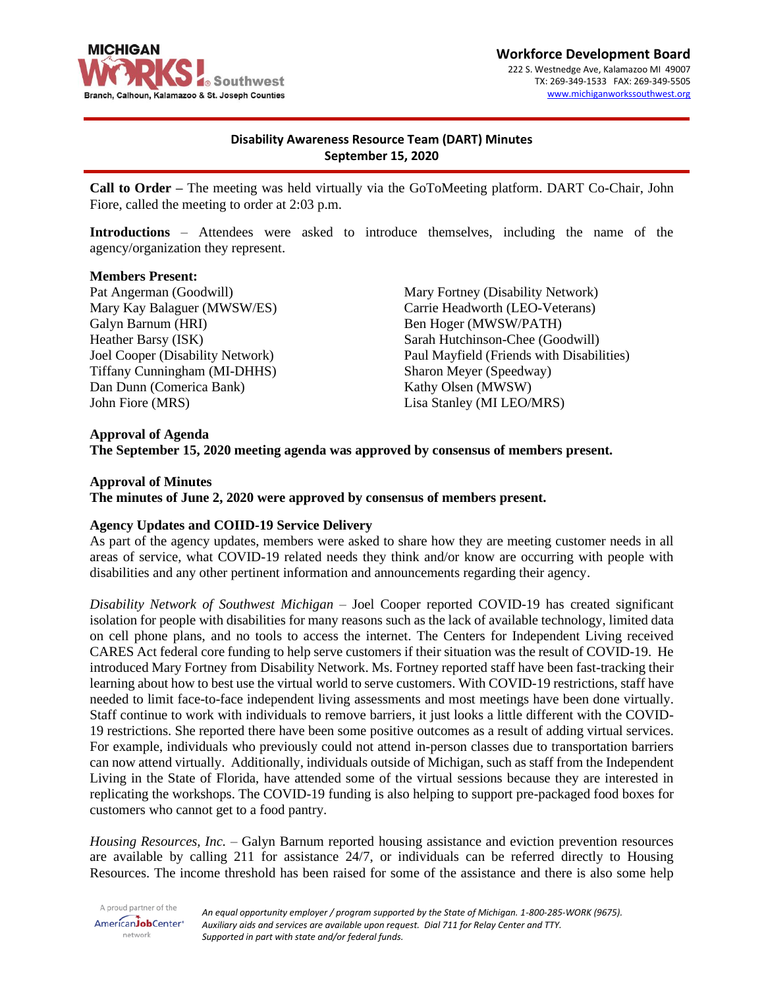

#### **Workforce Development Board** 222 S. Westnedge Ave, Kalamazoo MI 49007 TX: 269-349-1533 FAX: 269-349-5505 [www.michiganworkssouthwest.org](http://www.michiganworkssouthwest.org/)

# **Disability Awareness Resource Team (DART) Minutes September 15, 2020**

**Call to Order –** The meeting was held virtually via the GoToMeeting platform. DART Co-Chair, John Fiore, called the meeting to order at 2:03 p.m.

**Introductions** – Attendees were asked to introduce themselves, including the name of the agency/organization they represent.

#### **Members Present:**

Pat Angerman (Goodwill) Mary Kay Balaguer (MWSW/ES) Galyn Barnum (HRI) Heather Barsy (ISK) Joel Cooper (Disability Network) Tiffany Cunningham (MI-DHHS) Dan Dunn (Comerica Bank) John Fiore (MRS)

Mary Fortney (Disability Network) Carrie Headworth (LEO-Veterans) Ben Hoger (MWSW/PATH) Sarah Hutchinson-Chee (Goodwill) Paul Mayfield (Friends with Disabilities) Sharon Meyer (Speedway) Kathy Olsen (MWSW) Lisa Stanley (MI LEO/MRS)

# **Approval of Agenda The September 15, 2020 meeting agenda was approved by consensus of members present.**

#### **Approval of Minutes**

**The minutes of June 2, 2020 were approved by consensus of members present.**

### **Agency Updates and COIID-19 Service Delivery**

As part of the agency updates, members were asked to share how they are meeting customer needs in all areas of service, what COVID-19 related needs they think and/or know are occurring with people with disabilities and any other pertinent information and announcements regarding their agency.

*Disability Network of Southwest Michigan* – Joel Cooper reported COVID-19 has created significant isolation for people with disabilities for many reasons such as the lack of available technology, limited data on cell phone plans, and no tools to access the internet. The Centers for Independent Living received CARES Act federal core funding to help serve customers if their situation was the result of COVID-19. He introduced Mary Fortney from Disability Network. Ms. Fortney reported staff have been fast-tracking their learning about how to best use the virtual world to serve customers. With COVID-19 restrictions, staff have needed to limit face-to-face independent living assessments and most meetings have been done virtually. Staff continue to work with individuals to remove barriers, it just looks a little different with the COVID-19 restrictions. She reported there have been some positive outcomes as a result of adding virtual services. For example, individuals who previously could not attend in-person classes due to transportation barriers can now attend virtually. Additionally, individuals outside of Michigan, such as staff from the Independent Living in the State of Florida, have attended some of the virtual sessions because they are interested in replicating the workshops. The COVID-19 funding is also helping to support pre-packaged food boxes for customers who cannot get to a food pantry.

*Housing Resources, Inc.* – Galyn Barnum reported housing assistance and eviction prevention resources are available by calling 211 for assistance 24/7, or individuals can be referred directly to Housing Resources. The income threshold has been raised for some of the assistance and there is also some help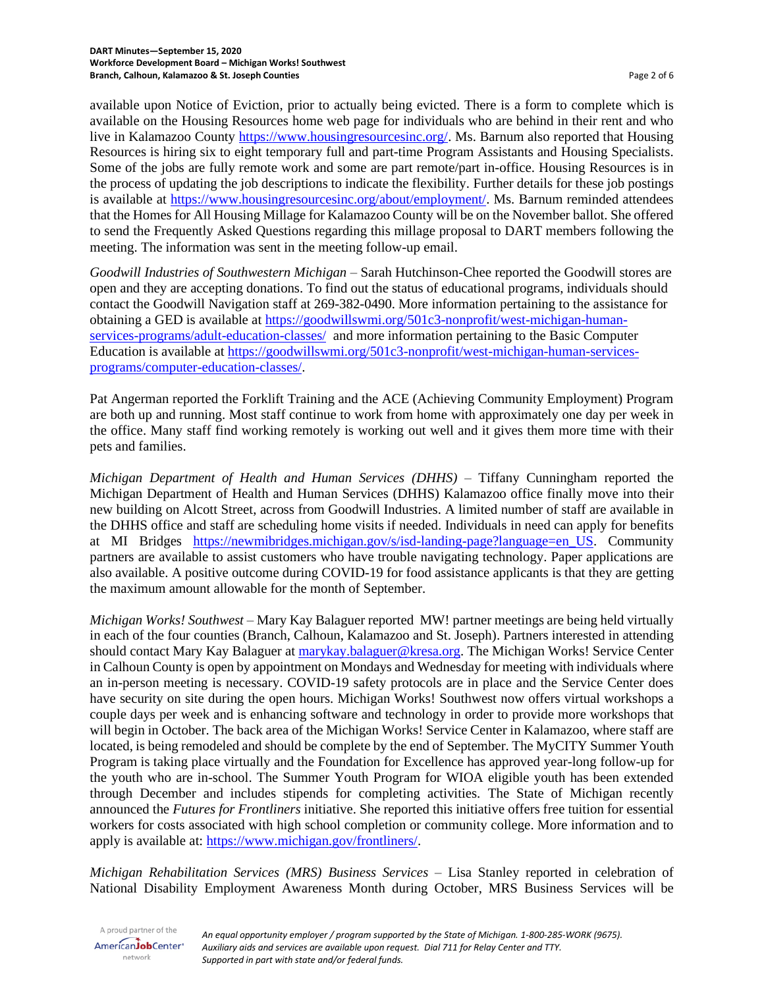available upon Notice of Eviction, prior to actually being evicted. There is a form to complete which is available on the Housing Resources home web page for individuals who are behind in their rent and who live in Kalamazoo County [https://www.housingresourcesinc.org/.](https://www.housingresourcesinc.org/) Ms. Barnum also reported that Housing Resources is hiring six to eight temporary full and part-time Program Assistants and Housing Specialists. Some of the jobs are fully remote work and some are part remote/part in-office. Housing Resources is in the process of updating the job descriptions to indicate the flexibility. Further details for these job postings is available at [https://www.housingresourcesinc.org/about/employment/.](https://www.housingresourcesinc.org/about/employment/) Ms. Barnum reminded attendees that the Homes for All Housing Millage for Kalamazoo County will be on the November ballot. She offered to send the Frequently Asked Questions regarding this millage proposal to DART members following the meeting. The information was sent in the meeting follow-up email.

*Goodwill Industries of Southwestern Michigan* – Sarah Hutchinson-Chee reported the Goodwill stores are open and they are accepting donations. To find out the status of educational programs, individuals should contact the Goodwill Navigation staff at 269-382-0490. More information pertaining to the assistance for obtaining a GED is available at [https://goodwillswmi.org/501c3-nonprofit/west-michigan-human](https://goodwillswmi.org/501c3-nonprofit/west-michigan-human-services-programs/adult-education-classes/)[services-programs/adult-education-classes/](https://goodwillswmi.org/501c3-nonprofit/west-michigan-human-services-programs/adult-education-classes/) and more information pertaining to the Basic Computer Education is available at [https://goodwillswmi.org/501c3-nonprofit/west-michigan-human-services](https://goodwillswmi.org/501c3-nonprofit/west-michigan-human-services-programs/computer-education-classes/)[programs/computer-education-classes/.](https://goodwillswmi.org/501c3-nonprofit/west-michigan-human-services-programs/computer-education-classes/)

Pat Angerman reported the Forklift Training and the ACE (Achieving Community Employment) Program are both up and running. Most staff continue to work from home with approximately one day per week in the office. Many staff find working remotely is working out well and it gives them more time with their pets and families.

*Michigan Department of Health and Human Services (DHHS)* – Tiffany Cunningham reported the Michigan Department of Health and Human Services (DHHS) Kalamazoo office finally move into their new building on Alcott Street, across from Goodwill Industries. A limited number of staff are available in the DHHS office and staff are scheduling home visits if needed. Individuals in need can apply for benefits at MI Bridges [https://newmibridges.michigan.gov/s/isd-landing-page?language=en\\_US.](https://newmibridges.michigan.gov/s/isd-landing-page?language=en_US) Community partners are available to assist customers who have trouble navigating technology. Paper applications are also available. A positive outcome during COVID-19 for food assistance applicants is that they are getting the maximum amount allowable for the month of September.

*Michigan Works! Southwest* – Mary Kay Balaguer reported MW! partner meetings are being held virtually in each of the four counties (Branch, Calhoun, Kalamazoo and St. Joseph). Partners interested in attending should contact Mary Kay Balaguer at [marykay.balaguer@kresa.org.](mailto:marykay.balaguer@kresa.org) The Michigan Works! Service Center in Calhoun County is open by appointment on Mondays and Wednesday for meeting with individuals where an in-person meeting is necessary. COVID-19 safety protocols are in place and the Service Center does have security on site during the open hours. Michigan Works! Southwest now offers virtual workshops a couple days per week and is enhancing software and technology in order to provide more workshops that will begin in October. The back area of the Michigan Works! Service Center in Kalamazoo, where staff are located, is being remodeled and should be complete by the end of September. The MyCITY Summer Youth Program is taking place virtually and the Foundation for Excellence has approved year-long follow-up for the youth who are in-school. The Summer Youth Program for WIOA eligible youth has been extended through December and includes stipends for completing activities. The State of Michigan recently announced the *Futures for Frontliners* initiative. She reported this initiative offers free tuition for essential workers for costs associated with high school completion or community college. More information and to apply is available at: [https://www.michigan.gov/frontliners/.](https://www.michigan.gov/frontliners/)

*Michigan Rehabilitation Services (MRS) Business Services* – Lisa Stanley reported in celebration of National Disability Employment Awareness Month during October, MRS Business Services will be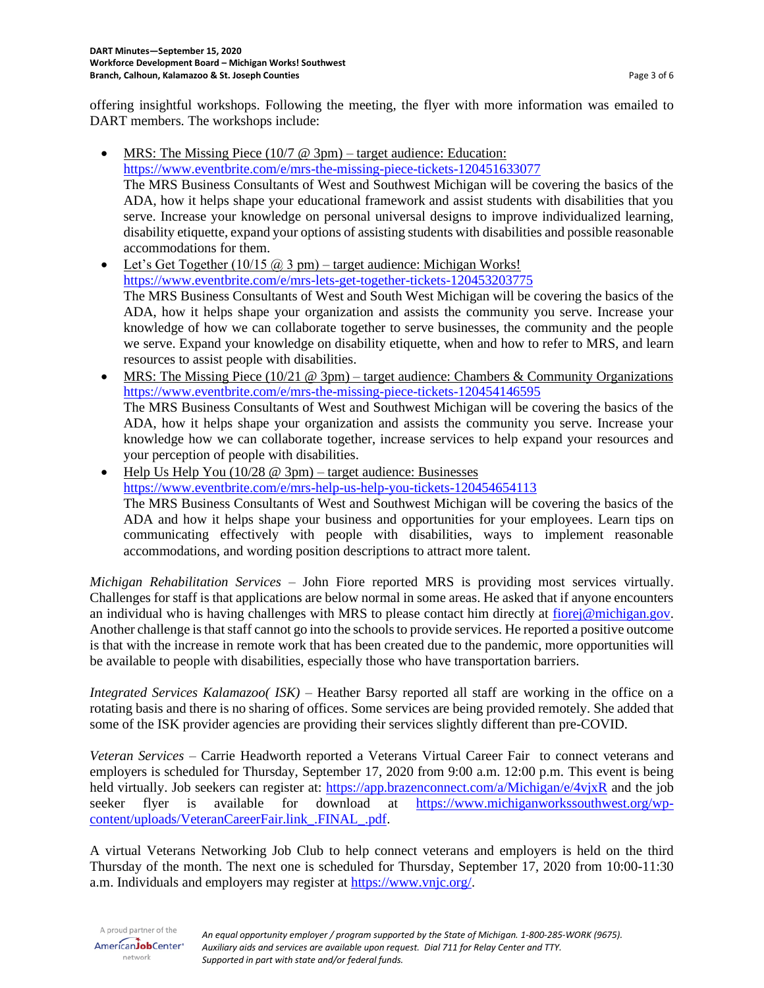offering insightful workshops. Following the meeting, the flyer with more information was emailed to DART members. The workshops include:

- MRS: The Missing Piece  $(10/7 \ @ \ 3pm)$  target audience: Education: <https://www.eventbrite.com/e/mrs-the-missing-piece-tickets-120451633077> The MRS Business Consultants of West and Southwest Michigan will be covering the basics of the ADA, how it helps shape your educational framework and assist students with disabilities that you serve. Increase your knowledge on personal universal designs to improve individualized learning, disability etiquette, expand your options of assisting students with disabilities and possible reasonable accommodations for them.
- Let's Get Together  $(10/15 \omega)$  3 pm) target audience: Michigan Works! <https://www.eventbrite.com/e/mrs-lets-get-together-tickets-120453203775> The MRS Business Consultants of West and South West Michigan will be covering the basics of the ADA, how it helps shape your organization and assists the community you serve. Increase your knowledge of how we can collaborate together to serve businesses, the community and the people we serve. Expand your knowledge on disability etiquette, when and how to refer to MRS, and learn resources to assist people with disabilities.
- MRS: The Missing Piece  $(10/21 \t@ 3pm)$  target audience: Chambers & Community Organizations <https://www.eventbrite.com/e/mrs-the-missing-piece-tickets-120454146595> The MRS Business Consultants of West and Southwest Michigan will be covering the basics of the ADA, how it helps shape your organization and assists the community you serve. Increase your knowledge how we can collaborate together, increase services to help expand your resources and your perception of people with disabilities.

Help Us Help You  $(10/28 \text{ } \textcircled{2pm})$  – target audience: Businesses <https://www.eventbrite.com/e/mrs-help-us-help-you-tickets-120454654113> The MRS Business Consultants of West and Southwest Michigan will be covering the basics of the ADA and how it helps shape your business and opportunities for your employees. Learn tips on communicating effectively with people with disabilities, ways to implement reasonable accommodations, and wording position descriptions to attract more talent.

*Michigan Rehabilitation Services –* John Fiore reported MRS is providing most services virtually. Challenges for staff is that applications are below normal in some areas. He asked that if anyone encounters an individual who is having challenges with MRS to please contact him directly at [fiorej@michigan.gov.](mailto:fiorej@michigan.gov) Another challenge is that staff cannot go into the schools to provide services. He reported a positive outcome is that with the increase in remote work that has been created due to the pandemic, more opportunities will be available to people with disabilities, especially those who have transportation barriers.

*Integrated Services Kalamazoo( ISK)* – Heather Barsy reported all staff are working in the office on a rotating basis and there is no sharing of offices. Some services are being provided remotely. She added that some of the ISK provider agencies are providing their services slightly different than pre-COVID.

*Veteran Services* – Carrie Headworth reported a Veterans Virtual Career Fair to connect veterans and employers is scheduled for Thursday, September 17, 2020 from 9:00 a.m. 12:00 p.m. This event is being held virtually. Job seekers can register at:<https://app.brazenconnect.com/a/Michigan/e/4vjxR> and the job seeker flyer is available for download at [https://www.michiganworkssouthwest.org/wp](https://www.michiganworkssouthwest.org/wp-content/uploads/VeteranCareerFair.link_.FINAL_.pdf)[content/uploads/VeteranCareerFair.link\\_.FINAL\\_.pdf.](https://www.michiganworkssouthwest.org/wp-content/uploads/VeteranCareerFair.link_.FINAL_.pdf)

A virtual Veterans Networking Job Club to help connect veterans and employers is held on the third Thursday of the month. The next one is scheduled for Thursday, September 17, 2020 from 10:00-11:30 a.m. Individuals and employers may register at [https://www.vnjc.org/.](https://www.vnjc.org/)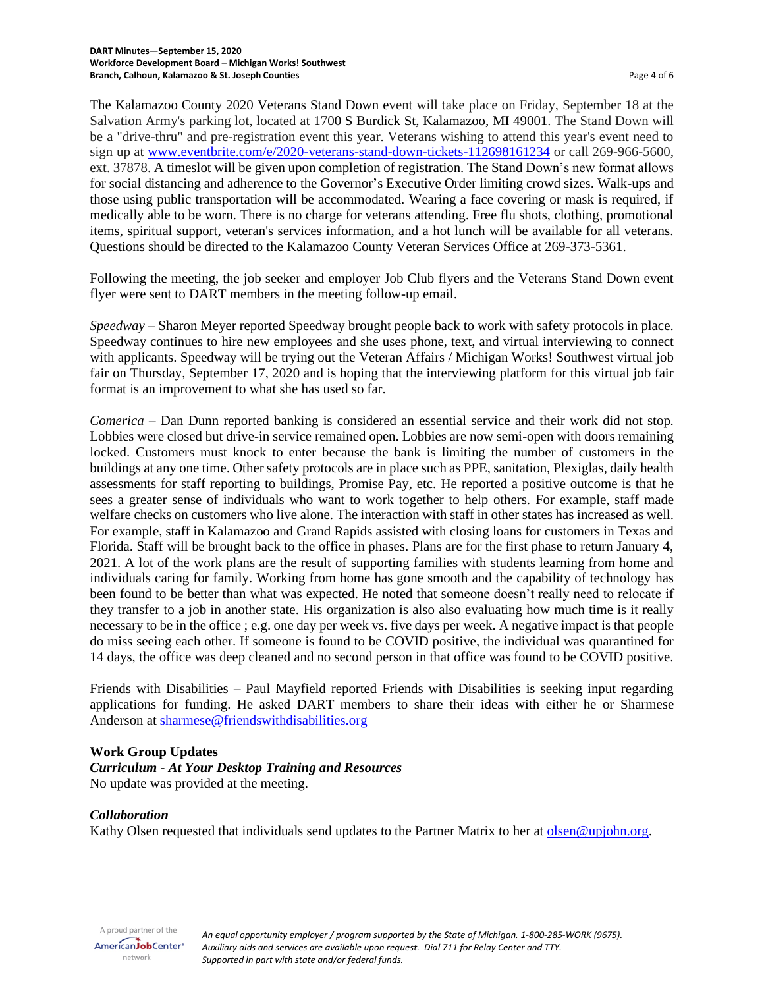The Kalamazoo County 2020 Veterans Stand Down event will take place on Friday, September 18 at the Salvation Army's parking lot, located at 1700 S Burdick St, Kalamazoo, MI 49001. The Stand Down will be a "drive-thru" and pre-registration event this year. Veterans wishing to attend this year's event need to sign up at [www.eventbrite.com/e/2020-veterans-stand-down-tickets-112698161234](http://www.eventbrite.com/e/2020-veterans-stand-down-tickets-112698161234) or call 269-966-5600, ext. 37878. A timeslot will be given upon completion of registration. The Stand Down's new format allows for social distancing and adherence to the Governor's Executive Order limiting crowd sizes. Walk-ups and those using public transportation will be accommodated. Wearing a face covering or mask is required, if medically able to be worn. There is no charge for veterans attending. Free flu shots, clothing, promotional items, spiritual support, veteran's services information, and a hot lunch will be available for all veterans. Questions should be directed to the Kalamazoo County Veteran Services Office at 269-373-5361.

Following the meeting, the job seeker and employer Job Club flyers and the Veterans Stand Down event flyer were sent to DART members in the meeting follow-up email.

*Speedway* – Sharon Meyer reported Speedway brought people back to work with safety protocols in place. Speedway continues to hire new employees and she uses phone, text, and virtual interviewing to connect with applicants. Speedway will be trying out the Veteran Affairs / Michigan Works! Southwest virtual job fair on Thursday, September 17, 2020 and is hoping that the interviewing platform for this virtual job fair format is an improvement to what she has used so far.

*Comerica* – Dan Dunn reported banking is considered an essential service and their work did not stop. Lobbies were closed but drive-in service remained open. Lobbies are now semi-open with doors remaining locked. Customers must knock to enter because the bank is limiting the number of customers in the buildings at any one time. Other safety protocols are in place such as PPE, sanitation, Plexiglas, daily health assessments for staff reporting to buildings, Promise Pay, etc. He reported a positive outcome is that he sees a greater sense of individuals who want to work together to help others. For example, staff made welfare checks on customers who live alone. The interaction with staff in other states has increased as well. For example, staff in Kalamazoo and Grand Rapids assisted with closing loans for customers in Texas and Florida. Staff will be brought back to the office in phases. Plans are for the first phase to return January 4, 2021. A lot of the work plans are the result of supporting families with students learning from home and individuals caring for family. Working from home has gone smooth and the capability of technology has been found to be better than what was expected. He noted that someone doesn't really need to relocate if they transfer to a job in another state. His organization is also also evaluating how much time is it really necessary to be in the office ; e.g. one day per week vs. five days per week. A negative impact is that people do miss seeing each other. If someone is found to be COVID positive, the individual was quarantined for 14 days, the office was deep cleaned and no second person in that office was found to be COVID positive.

Friends with Disabilities – Paul Mayfield reported Friends with Disabilities is seeking input regarding applications for funding. He asked DART members to share their ideas with either he or Sharmese Anderson at [sharmese@friendswithdisabilities.org](mailto:sharmese@friendswithdisabilities.org)

# **Work Group Updates**

*Curriculum - At Your Desktop Training and Resources* No update was provided at the meeting.

### *Collaboration*

Kathy Olsen requested that individuals send updates to the Partner Matrix to her at [olsen@upjohn.org.](mailto:olsen@upjohn.org)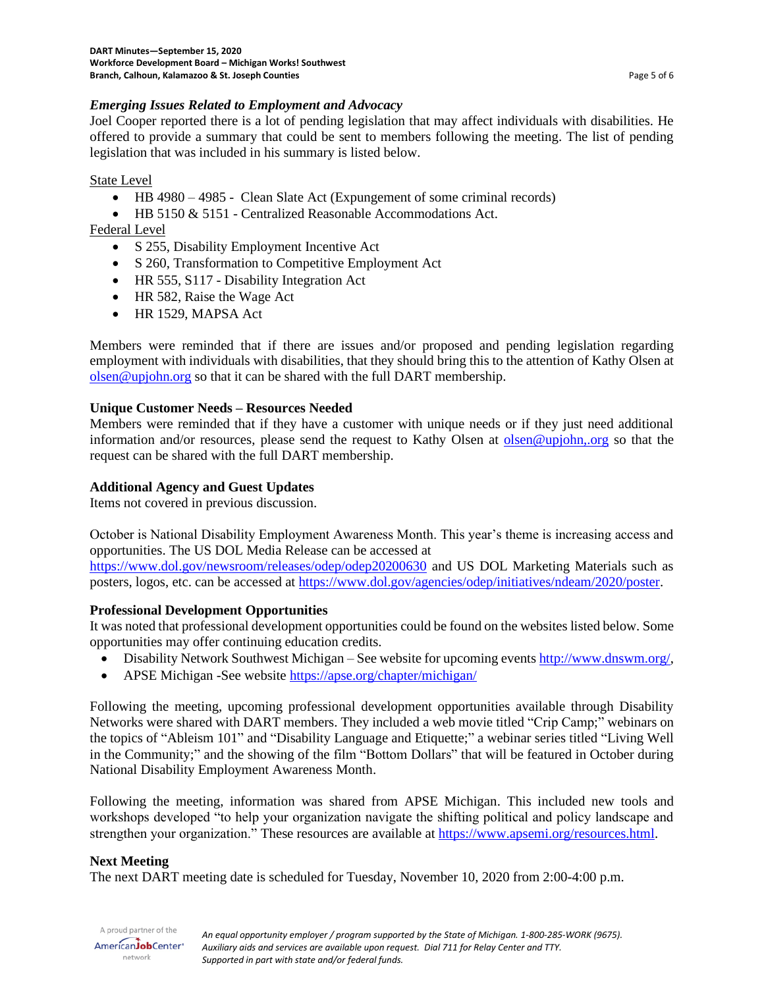# *Emerging Issues Related to Employment and Advocacy*

Joel Cooper reported there is a lot of pending legislation that may affect individuals with disabilities. He offered to provide a summary that could be sent to members following the meeting. The list of pending legislation that was included in his summary is listed below.

# State Level

- HB 4980 4985 Clean Slate Act (Expungement of some criminal records)
- HB 5150 & 5151 Centralized Reasonable Accommodations Act.

Federal Level

- S 255, Disability Employment Incentive Act
- S 260, Transformation to Competitive Employment Act
- HR 555, S117 Disability Integration Act
- HR 582, Raise the Wage Act
- HR 1529, MAPSA Act

Members were reminded that if there are issues and/or proposed and pending legislation regarding employment with individuals with disabilities, that they should bring this to the attention of Kathy Olsen at [olsen@upjohn.org](mailto:olsen@upjohn.org) so that it can be shared with the full DART membership.

# **Unique Customer Needs – Resources Needed**

Members were reminded that if they have a customer with unique needs or if they just need additional information and/or resources, please send the request to Kathy Olsen at [olsen@upjohn,.org](mailto:olsen@upjohn,.org) so that the request can be shared with the full DART membership.

### **Additional Agency and Guest Updates**

Items not covered in previous discussion.

October is National Disability Employment Awareness Month. This year's theme is increasing access and opportunities. The US DOL Media Release can be accessed at

<https://www.dol.gov/newsroom/releases/odep/odep20200630> and US DOL Marketing Materials such as posters, logos, etc. can be accessed at [https://www.dol.gov/agencies/odep/initiatives/ndeam/2020/poster.](https://www.dol.gov/agencies/odep/initiatives/ndeam/2020/poster)

# **Professional Development Opportunities**

It was noted that professional development opportunities could be found on the websites listed below. Some opportunities may offer continuing education credits.

- Disability Network Southwest Michigan See website for upcoming events [http://www.dnswm.org/,](http://www.dnswm.org/)
- APSE Michigan -See website<https://apse.org/chapter/michigan/>

Following the meeting, upcoming professional development opportunities available through Disability Networks were shared with DART members. They included a web movie titled "Crip Camp;" webinars on the topics of "Ableism 101" and "Disability Language and Etiquette;" a webinar series titled "Living Well in the Community;" and the showing of the film "Bottom Dollars" that will be featured in October during National Disability Employment Awareness Month.

Following the meeting, information was shared from APSE Michigan. This included new tools and workshops developed "to help your organization navigate the shifting political and policy landscape and strengthen your organization." These resources are available at [https://www.apsemi.org/resources.html.](https://www.apsemi.org/resources.html)

# **Next Meeting**

The next DART meeting date is scheduled for Tuesday, November 10, 2020 from 2:00-4:00 p.m.